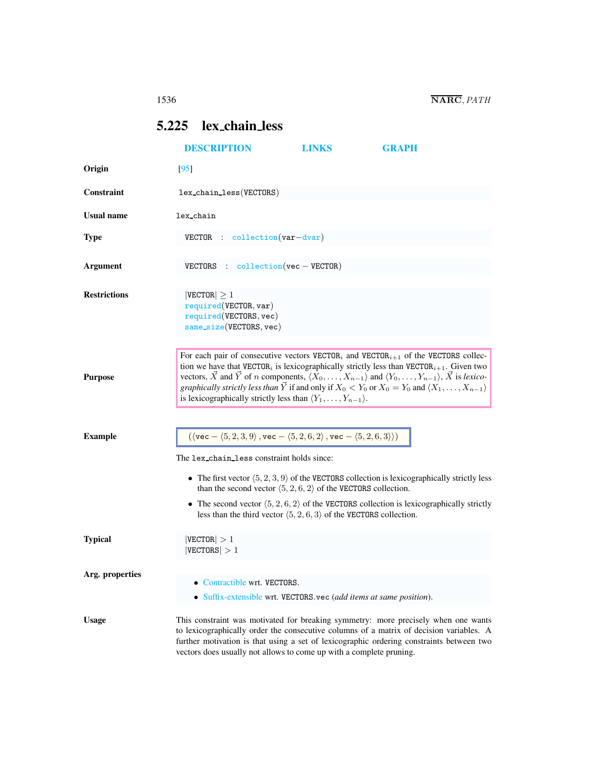## <span id="page-0-0"></span>5.225 lex chain less

|                                            | <b>DESCRIPTION</b>                                                                                                                                                                                                                                                                                                                                                                                                                                                                                                                                                                                        | <b>LINKS</b> | GRAPH                                                                                                    |  |
|--------------------------------------------|-----------------------------------------------------------------------------------------------------------------------------------------------------------------------------------------------------------------------------------------------------------------------------------------------------------------------------------------------------------------------------------------------------------------------------------------------------------------------------------------------------------------------------------------------------------------------------------------------------------|--------------|----------------------------------------------------------------------------------------------------------|--|
| Origin                                     | [95]                                                                                                                                                                                                                                                                                                                                                                                                                                                                                                                                                                                                      |              |                                                                                                          |  |
| Constraint                                 | $lex\_chain\_less(VECTORS)$                                                                                                                                                                                                                                                                                                                                                                                                                                                                                                                                                                               |              |                                                                                                          |  |
| <b>Usual name</b>                          | lex_chain                                                                                                                                                                                                                                                                                                                                                                                                                                                                                                                                                                                                 |              |                                                                                                          |  |
| <b>Type</b>                                | $VECTOR$ : collection $(var-dvar)$                                                                                                                                                                                                                                                                                                                                                                                                                                                                                                                                                                        |              |                                                                                                          |  |
| Argument                                   | VECTORS : $\text{collection}(vec - VECTOR)$                                                                                                                                                                                                                                                                                                                                                                                                                                                                                                                                                               |              |                                                                                                          |  |
| <b>Restrictions</b>                        | $ {\tt VECTOR}  \geq 1$<br>required(VECTOR, var)<br>required(VECTORS, vec)<br>$same\_size(VECTORS, vec)$                                                                                                                                                                                                                                                                                                                                                                                                                                                                                                  |              |                                                                                                          |  |
| <b>Purpose</b>                             | For each pair of consecutive vectors $VECTORi$ and $VECTORi+1$ of the VECTORS collec-<br>tion we have that VECTOR <sub>i</sub> is lexicographically strictly less than VECTOR <sub>i+1</sub> . Given two<br>vectors, $\vec{X}$ and $\vec{Y}$ of <i>n</i> components, $\langle X_0, \ldots, X_{n-1} \rangle$ and $\langle Y_0, \ldots, Y_{n-1} \rangle$ , $\vec{X}$ is lexico-<br><i>graphically strictly less than</i> $\vec{Y}$ if and only if $X_0 < Y_0$ or $X_0 = Y_0$ and $\langle X_1, \ldots, X_{n-1} \rangle$<br>is lexicographically strictly less than $\langle Y_1, \ldots, Y_{n-1} \rangle$ . |              |                                                                                                          |  |
| <b>Example</b>                             | $(\langle \text{vec} - \langle 5, 2, 3, 9 \rangle, \text{vec} - \langle 5, 2, 6, 2 \rangle, \text{vec} - \langle 5, 2, 6, 3 \rangle))$                                                                                                                                                                                                                                                                                                                                                                                                                                                                    |              |                                                                                                          |  |
| The lex chain less constraint holds since: |                                                                                                                                                                                                                                                                                                                                                                                                                                                                                                                                                                                                           |              |                                                                                                          |  |
|                                            | • The first vector $(5, 2, 3, 9)$ of the VECTORS collection is lexicographically strictly less<br>than the second vector $\langle 5, 2, 6, 2 \rangle$ of the VECTORS collection.                                                                                                                                                                                                                                                                                                                                                                                                                          |              |                                                                                                          |  |
|                                            | less than the third vector $\langle 5, 2, 6, 3 \rangle$ of the VECTORS collection.                                                                                                                                                                                                                                                                                                                                                                                                                                                                                                                        |              | • The second vector $\langle 5, 2, 6, 2 \rangle$ of the VECTORS collection is lexicographically strictly |  |
| <b>Typical</b>                             | $ \texttt{VECTOR}  > 1$<br>$ \texttt{VECTORS}  > 1$                                                                                                                                                                                                                                                                                                                                                                                                                                                                                                                                                       |              |                                                                                                          |  |
| Arg. properties                            |                                                                                                                                                                                                                                                                                                                                                                                                                                                                                                                                                                                                           |              |                                                                                                          |  |
|                                            | Contractible wrt. VECTORS.<br>• Suffix-extensible wrt. VECTORS.vec (add items at same position).                                                                                                                                                                                                                                                                                                                                                                                                                                                                                                          |              |                                                                                                          |  |
| <b>Usage</b>                               | This constraint was motivated for breaking symmetry: more precisely when one wants<br>to lexicographically order the consecutive columns of a matrix of decision variables. A<br>further motivation is that using a set of lexicographic ordering constraints between two<br>vectors does usually not allows to come up with a complete pruning.                                                                                                                                                                                                                                                          |              |                                                                                                          |  |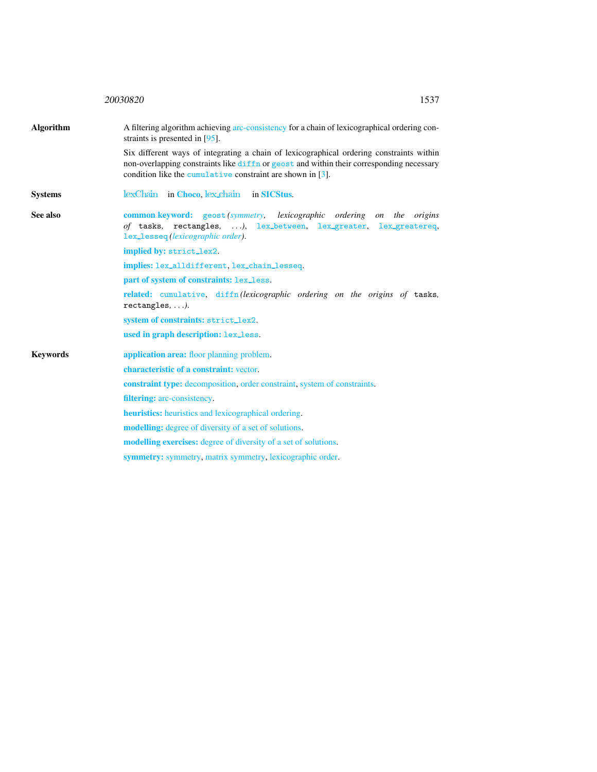<span id="page-1-0"></span>

|                  | 20030820<br>1537                                                                                                                                                                                                                                   |  |
|------------------|----------------------------------------------------------------------------------------------------------------------------------------------------------------------------------------------------------------------------------------------------|--|
| <b>Algorithm</b> | A filtering algorithm achieving arc-consistency for a chain of lexicographical ordering con-<br>straints is presented in $[95]$ .                                                                                                                  |  |
|                  | Six different ways of integrating a chain of lexicographical ordering constraints within<br>non-overlapping constraints like diffn or geost and within their corresponding necessary<br>condition like the cumulative constraint are shown in [3]. |  |
| <b>Systems</b>   | lexChain in Choco, lex_chain in SICStus.                                                                                                                                                                                                           |  |
| See also         | <b>common keyword:</b> geost (symmetry, lexicographic ordering on the origins<br>of tasks, rectangles, ), lex_between, lex_greater, lex_greatereq,<br>lex_lesseq(lexicographic order).                                                             |  |
|                  | implied by: strict_lex2.                                                                                                                                                                                                                           |  |
|                  | implies: lex_alldifferent, lex_chain_lesseq.                                                                                                                                                                                                       |  |
|                  | part of system of constraints: lex_less.                                                                                                                                                                                                           |  |
|                  | related: cumulative, diffn(lexicographic ordering on the origins of tasks,<br>$rectangles, \ldots$ ).                                                                                                                                              |  |
|                  | system of constraints: strict_lex2.                                                                                                                                                                                                                |  |
|                  | used in graph description: lex_less.                                                                                                                                                                                                               |  |
| <b>Keywords</b>  | application area: floor planning problem.                                                                                                                                                                                                          |  |
|                  | characteristic of a constraint: vector.                                                                                                                                                                                                            |  |
|                  | <b>constraint type:</b> decomposition, order constraint, system of constraints.                                                                                                                                                                    |  |
|                  | <b>filtering:</b> arc-consistency.                                                                                                                                                                                                                 |  |
|                  | <b>heuristics:</b> heuristics and lexicographical ordering.                                                                                                                                                                                        |  |
|                  | <b>modelling:</b> degree of diversity of a set of solutions.                                                                                                                                                                                       |  |
|                  | <b>modelling exercises:</b> degree of diversity of a set of solutions.                                                                                                                                                                             |  |
|                  | <b>symmetry:</b> symmetry, matrix symmetry, lexicographic order.                                                                                                                                                                                   |  |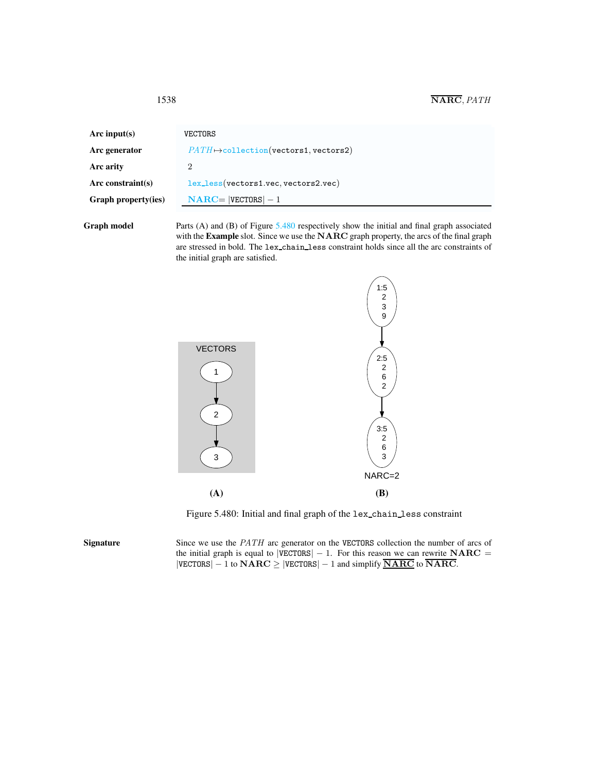| Arc input(s)               | VECTORS                                           |
|----------------------------|---------------------------------------------------|
| Arc generator              | $PATH \rightarrow collection(vectors1, vectors2)$ |
| Arc arity                  | 2                                                 |
| Arc constraint(s)          | lex_less(vectors1.vec, vectors2.vec)              |
| <b>Graph property(ies)</b> | $NARC =  VECTORS  - 1$                            |
|                            |                                                   |

Graph model Parts (A) and (B) of Figure [5.480](#page-2-1) respectively show the initial and final graph associated with the **Example** slot. Since we use the NARC graph property, the arcs of the final graph are stressed in bold. The lex chain less constraint holds since all the arc constraints of the initial graph are satisfied.



<span id="page-2-1"></span>Figure 5.480: Initial and final graph of the lex chain less constraint

Signature Since we use the PATH arc generator on the VECTORS collection the number of arcs of the initial graph is equal to  $|VECTORS| - 1$ . For this reason we can rewrite  $NARC =$  $|VECTORS| - 1$  to  $NARC \ge |VECTORS| - 1$  and simplify  $\overline{NARC}$  to  $\overline{NARC}$ .

<span id="page-2-0"></span>